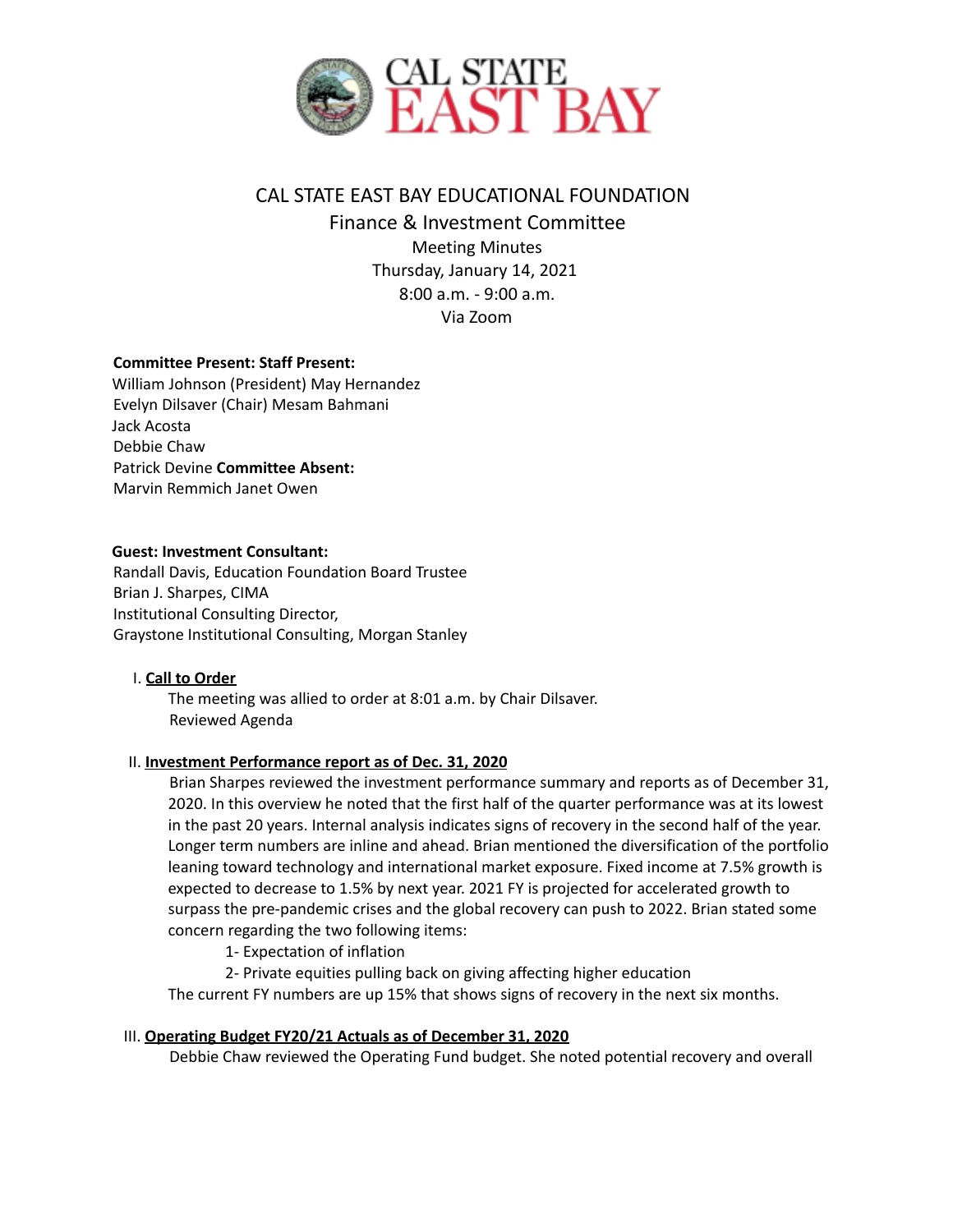

# CAL STATE EAST BAY EDUCATIONAL FOUNDATION

Finance & Investment Committee Meeting Minutes Thursday, January 14, 2021 8:00 a.m. - 9:00 a.m. Via Zoom

# **Committee Present: Staff Present:**

William Johnson (President) May Hernandez Evelyn Dilsaver (Chair) Mesam Bahmani Jack Acosta Debbie Chaw Patrick Devine **Committee Absent:** Marvin Remmich Janet Owen

# **Guest: Investment Consultant:**

Randall Davis, Education Foundation Board Trustee Brian J. Sharpes, CIMA Institutional Consulting Director, Graystone Institutional Consulting, Morgan Stanley

### I. **Call to Order**

The meeting was allied to order at 8:01 a.m. by Chair Dilsaver. Reviewed Agenda

### II. **Investment Performance report as of Dec. 31, 2020**

Brian Sharpes reviewed the investment performance summary and reports as of December 31, 2020. In this overview he noted that the first half of the quarter performance was at its lowest in the past 20 years. Internal analysis indicates signs of recovery in the second half of the year. Longer term numbers are inline and ahead. Brian mentioned the diversification of the portfolio leaning toward technology and international market exposure. Fixed income at 7.5% growth is expected to decrease to 1.5% by next year. 2021 FY is projected for accelerated growth to surpass the pre-pandemic crises and the global recovery can push to 2022. Brian stated some concern regarding the two following items:

1- Expectation of inflation

2- Private equities pulling back on giving affecting higher education

The current FY numbers are up 15% that shows signs of recovery in the next six months.

### III. **Operating Budget FY20/21 Actuals as of December 31, 2020**

Debbie Chaw reviewed the Operating Fund budget. She noted potential recovery and overall